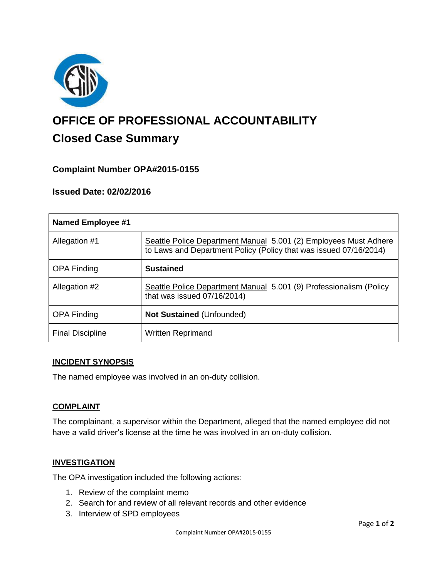

# **OFFICE OF PROFESSIONAL ACCOUNTABILITY Closed Case Summary**

## **Complaint Number OPA#2015-0155**

## **Issued Date: 02/02/2016**

| <b>Named Employee #1</b> |                                                                                                                                       |
|--------------------------|---------------------------------------------------------------------------------------------------------------------------------------|
| Allegation #1            | Seattle Police Department Manual 5.001 (2) Employees Must Adhere<br>to Laws and Department Policy (Policy that was issued 07/16/2014) |
| <b>OPA Finding</b>       | <b>Sustained</b>                                                                                                                      |
| Allegation #2            | Seattle Police Department Manual 5.001 (9) Professionalism (Policy<br>that was issued 07/16/2014)                                     |
| <b>OPA Finding</b>       | <b>Not Sustained (Unfounded)</b>                                                                                                      |
| <b>Final Discipline</b>  | <b>Written Reprimand</b>                                                                                                              |

#### **INCIDENT SYNOPSIS**

The named employee was involved in an on-duty collision.

#### **COMPLAINT**

The complainant, a supervisor within the Department, alleged that the named employee did not have a valid driver's license at the time he was involved in an on-duty collision.

#### **INVESTIGATION**

The OPA investigation included the following actions:

- 1. Review of the complaint memo
- 2. Search for and review of all relevant records and other evidence
- 3. Interview of SPD employees